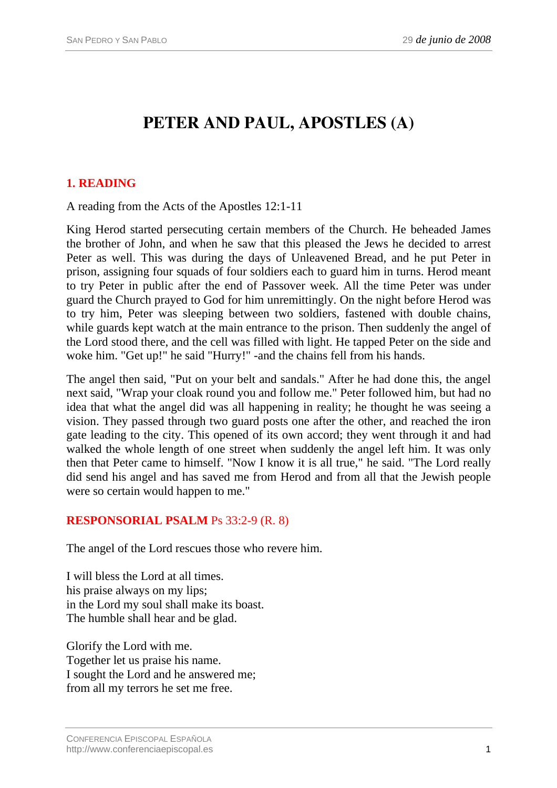# **PETER AND PAUL, APOSTLES (A)**

# **1. READING**

A reading from the Acts of the Apostles 12:1-11

King Herod started persecuting certain members of the Church. He beheaded James the brother of John, and when he saw that this pleased the Jews he decided to arrest Peter as well. This was during the days of Unleavened Bread, and he put Peter in prison, assigning four squads of four soldiers each to guard him in turns. Herod meant to try Peter in public after the end of Passover week. All the time Peter was under guard the Church prayed to God for him unremittingly. On the night before Herod was to try him, Peter was sleeping between two soldiers, fastened with double chains, while guards kept watch at the main entrance to the prison. Then suddenly the angel of the Lord stood there, and the cell was filled with light. He tapped Peter on the side and woke him. "Get up!" he said "Hurry!" -and the chains fell from his hands.

The angel then said, "Put on your belt and sandals." After he had done this, the angel next said, "Wrap your cloak round you and follow me." Peter followed him, but had no idea that what the angel did was all happening in reality; he thought he was seeing a vision. They passed through two guard posts one after the other, and reached the iron gate leading to the city. This opened of its own accord; they went through it and had walked the whole length of one street when suddenly the angel left him. It was only then that Peter came to himself. "Now I know it is all true," he said. "The Lord really did send his angel and has saved me from Herod and from all that the Jewish people were so certain would happen to me."

### **RESPONSORIAL PSALM** Ps 33:2-9 (R. 8)

The angel of the Lord rescues those who revere him.

I will bless the Lord at all times. his praise always on my lips; in the Lord my soul shall make its boast. The humble shall hear and be glad.

Glorify the Lord with me. Together let us praise his name. I sought the Lord and he answered me; from all my terrors he set me free.